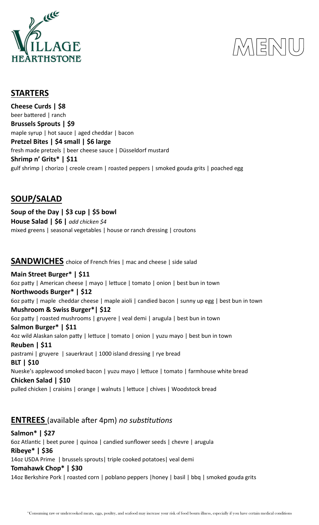

## I KIELNI

#### **STARTERS**

**Cheese Curds | \$8** beer battered | ranch **Brussels Sprouts | \$9** maple syrup | hot sauce | aged cheddar | bacon **Pretzel Bites | \$4 small | \$6 large** fresh made pretzels | beer cheese sauce | Düsseldorf mustard **Shrimp n' Grits\* | \$11** gulf shrimp | chorizo | creole cream | roasted peppers | smoked gouda grits | poached egg

### **SOUP/SALAD**

**Soup of the Day | \$3 cup | \$5 bowl House Salad | \$6 |** *add chicken \$4* mixed greens | seasonal vegetables | house or ranch dressing | croutons

**SANDWICHES** choice of French fries | mac and cheese | side salad

**Main Street Burger\* | \$11** 6oz patty | American cheese | mayo | lettuce | tomato | onion | best bun in town **Northwoods Burger\* | \$12** 6oz patty | maple cheddar cheese | maple aioli | candied bacon | sunny up egg | best bun in town **Mushroom & Swiss Burger\*| \$12** 6oz patty | roasted mushrooms | gruyere | veal demi | arugula | best bun in town **Salmon Burger\* | \$11** 4oz wild Alaskan salon patty | lettuce | tomato | onion | yuzu mayo | best bun in town **Reuben | \$11** pastrami | gruyere | sauerkraut | 1000 island dressing | rye bread **BLT | \$10** Nueske's applewood smoked bacon | yuzu mayo | lettuce | tomato | farmhouse white bread **Chicken Salad | \$10** pulled chicken | craisins | orange | walnuts | lettuce | chives | Woodstock bread

## **ENTREES** (available after 4pm) *no substitutions*

**Salmon\* | \$27** 6oz Atlantic | beet puree | quinoa | candied sunflower seeds | chevre | arugula **Ribeye\* | \$36** 14oz USDA Prime | brussels sprouts| triple cooked potatoes| veal demi **Tomahawk Chop\* | \$30** 14oz Berkshire Pork | roasted corn | poblano peppers |honey | basil | bbq | smoked gouda grits